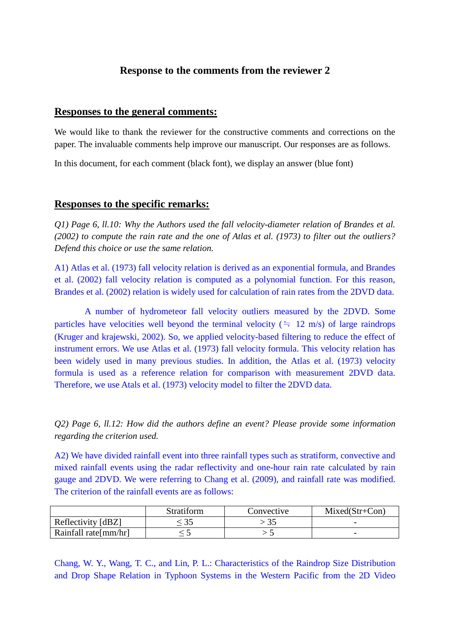## **Response to the comments from the reviewer 2**

#### **Responses to the general comments:**

We would like to thank the reviewer for the constructive comments and corrections on the paper. The invaluable comments help improve our manuscript. Our responses are as follows.

In this document, for each comment (black font), we display an answer (blue font)

### **Responses to the specific remarks:**

*Q1) Page 6, ll.10: Why the Authors used the fall velocity-diameter relation of Brandes et al. (2002) to compute the rain rate and the one of Atlas et al. (1973) to filter out the outliers? Defend this choice or use the same relation.*

A1) Atlas et al. (1973) fall velocity relation is derived as an exponential formula, and Brandes et al. (2002) fall velocity relation is computed as a polynomial function. For this reason, Brandes et al. (2002) relation is widely used for calculation of rain rates from the 2DVD data.

A number of hydrometeor fall velocity outliers measured by the 2DVD. Some particles have velocities well beyond the terminal velocity ( $\approx$  12 m/s) of large raindrops (Kruger and krajewski, 2002). So, we applied velocity-based filtering to reduce the effect of instrument errors. We use Atlas et al. (1973) fall velocity formula. This velocity relation has been widely used in many previous studies. In addition, the Atlas et al. (1973) velocity formula is used as a reference relation for comparison with measurement 2DVD data. Therefore, we use Atals et al. (1973) velocity model to filter the 2DVD data.

*Q2) Page 6, ll.12: How did the authors define an event? Please provide some information regarding the criterion used.*

A2) We have divided rainfall event into three rainfall types such as stratiform, convective and mixed rainfall events using the radar reflectivity and one-hour rain rate calculated by rain gauge and 2DVD. We were referring to Chang et al. (2009), and rainfall rate was modified. The criterion of the rainfall events are as follows:

|                      | <b>Stratiform</b> | Convective | $Mixed (Str+Con)$ |
|----------------------|-------------------|------------|-------------------|
| Reflectivity [dBZ]   |                   |            |                   |
| Rainfall rate[mm/hr] |                   |            |                   |

Chang, W. Y., Wang, T. C., and Lin, P. L.: Characteristics of the Raindrop Size Distribution and Drop Shape Relation in Typhoon Systems in the Western Pacific from the 2D Video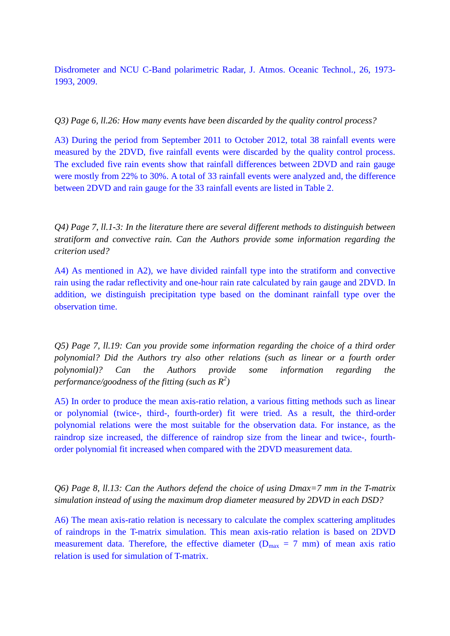Disdrometer and NCU C-Band polarimetric Radar, J. Atmos. Oceanic Technol., 26, 1973- 1993, 2009.

## *Q3) Page 6, ll.26: How many events have been discarded by the quality control process?*

A3) During the period from September 2011 to October 2012, total 38 rainfall events were measured by the 2DVD, five rainfall events were discarded by the quality control process. The excluded five rain events show that rainfall differences between 2DVD and rain gauge were mostly from 22% to 30%. A total of 33 rainfall events were analyzed and, the difference between 2DVD and rain gauge for the 33 rainfall events are listed in Table 2.

*Q4) Page 7, ll.1-3: In the literature there are several different methods to distinguish between stratiform and convective rain. Can the Authors provide some information regarding the criterion used?*

A4) As mentioned in A2), we have divided rainfall type into the stratiform and convective rain using the radar reflectivity and one-hour rain rate calculated by rain gauge and 2DVD. In addition, we distinguish precipitation type based on the dominant rainfall type over the observation time.

*Q5) Page 7, ll.19: Can you provide some information regarding the choice of a third order polynomial? Did the Authors try also other relations (such as linear or a fourth order polynomial)? Can the Authors provide some information regarding the performance/goodness of the fitting (such as R<sup>2</sup> )*

A5) In order to produce the mean axis-ratio relation, a various fitting methods such as linear or polynomial (twice-, third-, fourth-order) fit were tried. As a result, the third-order polynomial relations were the most suitable for the observation data. For instance, as the raindrop size increased, the difference of raindrop size from the linear and twice-, fourthorder polynomial fit increased when compared with the 2DVD measurement data.

*Q6) Page 8, ll.13: Can the Authors defend the choice of using Dmax=7 mm in the T-matrix simulation instead of using the maximum drop diameter measured by 2DVD in each DSD?*

A6) The mean axis-ratio relation is necessary to calculate the complex scattering amplitudes of raindrops in the T-matrix simulation. This mean axis-ratio relation is based on 2DVD measurement data. Therefore, the effective diameter ( $D_{max} = 7$  mm) of mean axis ratio relation is used for simulation of T-matrix.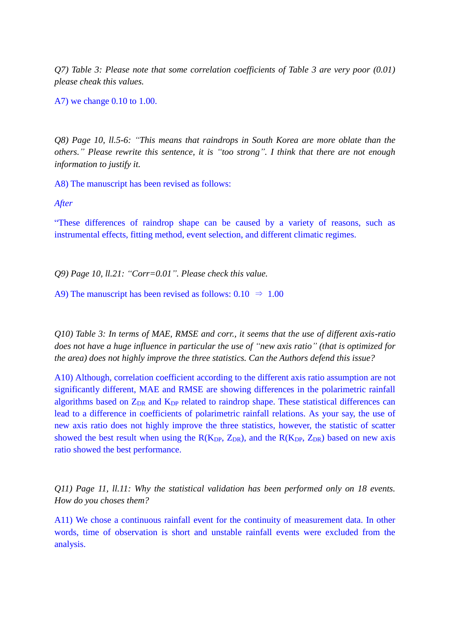*Q7) Table 3: Please note that some correlation coefficients of Table 3 are very poor (0.01) please cheak this values.*

A7) we change 0.10 to 1.00.

*Q8) Page 10, ll.5-6: "This means that raindrops in South Korea are more oblate than the others." Please rewrite this sentence, it is "too strong". I think that there are not enough information to justify it.*

A8) The manuscript has been revised as follows:

*After*

"These differences of raindrop shape can be caused by a variety of reasons, such as instrumental effects, fitting method, event selection, and different climatic regimes.

*Q9) Page 10, ll.21: "Corr=0.01". Please check this value.*

A9) The manuscript has been revised as follows:  $0.10 \Rightarrow 1.00$ 

*Q10) Table 3: In terms of MAE, RMSE and corr., it seems that the use of different axis-ratio does not have a huge influence in particular the use of "new axis ratio" (that is optimized for the area) does not highly improve the three statistics. Can the Authors defend this issue?*

A10) Although, correlation coefficient according to the different axis ratio assumption are not significantly different, MAE and RMSE are showing differences in the polarimetric rainfall algorithms based on  $Z_{DR}$  and  $K_{DP}$  related to raindrop shape. These statistical differences can lead to a difference in coefficients of polarimetric rainfall relations. As your say, the use of new axis ratio does not highly improve the three statistics, however, the statistic of scatter showed the best result when using the  $R(K_{DP}, Z_{DR})$ , and the  $R(K_{DP}, Z_{DR})$  based on new axis ratio showed the best performance.

*Q11) Page 11, ll.11: Why the statistical validation has been performed only on 18 events. How do you choses them?*

A11) We chose a continuous rainfall event for the continuity of measurement data. In other words, time of observation is short and unstable rainfall events were excluded from the analysis.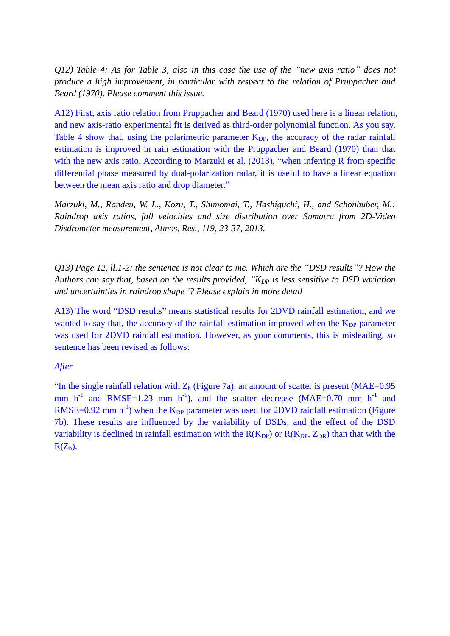*Q12) Table 4: As for Table 3, also in this case the use of the "new axis ratio" does not produce a high improvement, in particular with respect to the relation of Pruppacher and Beard (1970). Please comment this issue.* 

A12) First, axis ratio relation from Pruppacher and Beard (1970) used here is a linear relation, and new axis-ratio experimental fit is derived as third-order polynomial function. As you say, Table 4 show that, using the polarimetric parameter  $K_{DP}$ , the accuracy of the radar rainfall estimation is improved in rain estimation with the Pruppacher and Beard (1970) than that with the new axis ratio. According to Marzuki et al. (2013), "when inferring R from specific differential phase measured by dual-polarization radar, it is useful to have a linear equation between the mean axis ratio and drop diameter."

*Marzuki, M., Randeu, W. L., Kozu, T., Shimomai, T., Hashiguchi, H., and Schonhuber, M.: Raindrop axis ratios, fall velocities and size distribution over Sumatra from 2D-Video Disdrometer measurement, Atmos, Res., 119, 23-37, 2013.*

*Q13) Page 12, ll.1-2: the sentence is not clear to me. Which are the "DSD results"? How the Authors can say that, based on the results provided, "KDP is less sensitive to DSD variation and uncertainties in raindrop shape"? Please explain in more detail*

A13) The word "DSD results" means statistical results for 2DVD rainfall estimation, and we wanted to say that, the accuracy of the rainfall estimation improved when the  $K_{DP}$  parameter was used for 2DVD rainfall estimation. However, as your comments, this is misleading, so sentence has been revised as follows:

#### *After*

"In the single rainfall relation with  $Z_h$  (Figure 7a), an amount of scatter is present (MAE=0.95) mm  $h^{-1}$  and RMSE=1.23 mm  $h^{-1}$ ), and the scatter decrease (MAE=0.70 mm  $h^{-1}$  and RMSE= $0.92$  mm h<sup>-1</sup>) when the K<sub>DP</sub> parameter was used for 2DVD rainfall estimation (Figure 7b). These results are influenced by the variability of DSDs, and the effect of the DSD variability is declined in rainfall estimation with the  $R(K_{DP})$  or  $R(K_{DP}, Z_{DR})$  than that with the  $R(Z_h)$ .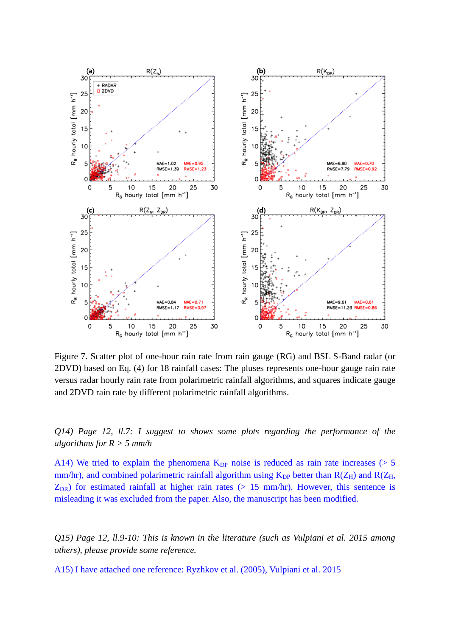

Figure 7. Scatter plot of one-hour rain rate from rain gauge (RG) and BSL S-Band radar (or 2DVD) based on Eq. (4) for 18 rainfall cases: The pluses represents one-hour gauge rain rate versus radar hourly rain rate from polarimetric rainfall algorithms, and squares indicate gauge and 2DVD rain rate by different polarimetric rainfall algorithms.

*Q14) Page 12, ll.7: I suggest to shows some plots regarding the performance of the algorithms for R > 5 mm/h*

A14) We tried to explain the phenomena  $K_{DP}$  noise is reduced as rain rate increases ( $> 5$ mm/hr), and combined polarimetric rainfall algorithm using  $K_{DP}$  better than  $R(Z_H)$  and  $R(Z_H)$  $Z_{DR}$ ) for estimated rainfall at higher rain rates ( $> 15$  mm/hr). However, this sentence is misleading it was excluded from the paper. Also, the manuscript has been modified.

*Q15) Page 12, ll.9-10: This is known in the literature (such as Vulpiani et al. 2015 among others), please provide some reference.* 

A15) I have attached one reference: Ryzhkov et al. (2005), Vulpiani et al. 2015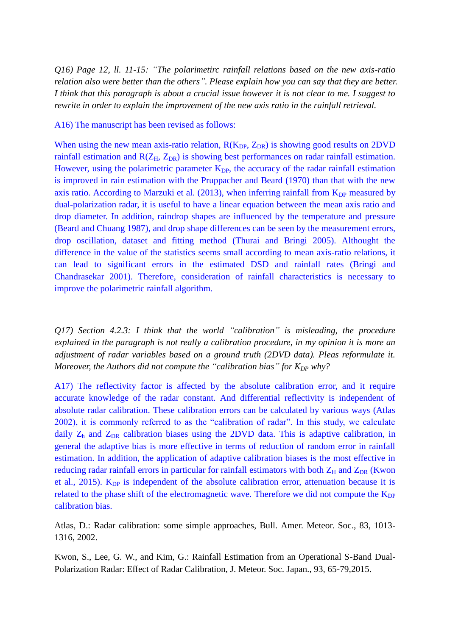*Q16) Page 12, ll. 11-15: "The polarimetirc rainfall relations based on the new axis-ratio relation also were better than the others". Please explain how you can say that they are better. I think that this paragraph is about a crucial issue however it is not clear to me. I suggest to rewrite in order to explain the improvement of the new axis ratio in the rainfall retrieval.*

#### A16) The manuscript has been revised as follows:

When using the new mean axis-ratio relation,  $R(K_{DP}, Z_{DR})$  is showing good results on 2DVD rainfall estimation and  $R(Z_H, Z_{DR})$  is showing best performances on radar rainfall estimation. However, using the polarimetric parameter  $K_{DP}$ , the accuracy of the radar rainfall estimation is improved in rain estimation with the Pruppacher and Beard (1970) than that with the new axis ratio. According to Marzuki et al.  $(2013)$ , when inferring rainfall from  $K_{DP}$  measured by dual-polarization radar, it is useful to have a linear equation between the mean axis ratio and drop diameter. In addition, raindrop shapes are influenced by the temperature and pressure (Beard and Chuang 1987), and drop shape differences can be seen by the measurement errors, drop oscillation, dataset and fitting method (Thurai and Bringi 2005). Althought the difference in the value of the statistics seems small according to mean axis-ratio relations, it can lead to significant errors in the estimated DSD and rainfall rates (Bringi and Chandrasekar 2001). Therefore, consideration of rainfall characteristics is necessary to improve the polarimetric rainfall algorithm.

*Q17) Section 4.2.3: I think that the world "calibration" is misleading, the procedure explained in the paragraph is not really a calibration procedure, in my opinion it is more an adjustment of radar variables based on a ground truth (2DVD data). Pleas reformulate it. Moreover, the Authors did not compute the "calibration bias" for K<sub>DP</sub> why?* 

A17) The reflectivity factor is affected by the absolute calibration error, and it require accurate knowledge of the radar constant. And differential reflectivity is independent of absolute radar calibration. These calibration errors can be calculated by various ways (Atlas 2002), it is commonly referred to as the "calibration of radar". In this study, we calculate daily  $Z_h$  and  $Z_{DR}$  calibration biases using the 2DVD data. This is adaptive calibration, in general the adaptive bias is more effective in terms of reduction of random error in rainfall estimation. In addition, the application of adaptive calibration biases is the most effective in reducing radar rainfall errors in particular for rainfall estimators with both  $Z_H$  and  $Z_{DR}$  (Kwon et al., 2015).  $K_{DP}$  is independent of the absolute calibration error, attenuation because it is related to the phase shift of the electromagnetic wave. Therefore we did not compute the  $K_{DP}$ calibration bias.

Atlas, D.: Radar calibration: some simple approaches, Bull. Amer. Meteor. Soc., 83, 1013- 1316, 2002.

Kwon, S., Lee, G. W., and Kim, G.: Rainfall Estimation from an Operational S-Band Dual-Polarization Radar: Effect of Radar Calibration, J. Meteor. Soc. Japan., 93, 65-79,2015.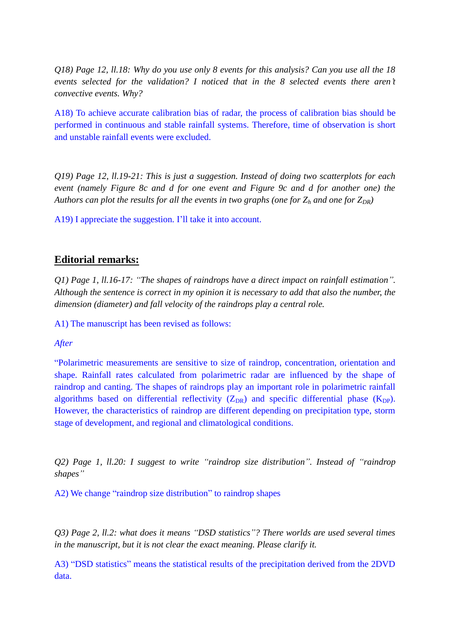*Q18) Page 12, ll.18: Why do you use only 8 events for this analysis? Can you use all the 18 events selected for the validation? I noticed that in the 8 selected events there aren't convective events. Why?*

A18) To achieve accurate calibration bias of radar, the process of calibration bias should be performed in continuous and stable rainfall systems. Therefore, time of observation is short and unstable rainfall events were excluded.

*Q19) Page 12, ll.19-21: This is just a suggestion. Instead of doing two scatterplots for each event (namely Figure 8c and d for one event and Figure 9c and d for another one) the Authors can plot the results for all the events in two graphs (one for*  $Z_h$  *and one for*  $Z_{DR}$ *)* 

A19) I appreciate the suggestion. I'll take it into account.

# **Editorial remarks:**

*Q1) Page 1, ll.16-17: "The shapes of raindrops have a direct impact on rainfall estimation". Although the sentence is correct in my opinion it is necessary to add that also the number, the dimension (diameter) and fall velocity of the raindrops play a central role.*

A1) The manuscript has been revised as follows:

#### *After*

"Polarimetric measurements are sensitive to size of raindrop, concentration, orientation and shape. Rainfall rates calculated from polarimetric radar are influenced by the shape of raindrop and canting. The shapes of raindrops play an important role in polarimetric rainfall algorithms based on differential reflectivity  $(Z_{DR})$  and specific differential phase  $(K_{DP})$ . However, the characteristics of raindrop are different depending on precipitation type, storm stage of development, and regional and climatological conditions.

*Q2) Page 1, ll.20: I suggest to write "raindrop size distribution". Instead of "raindrop shapes"*

A2) We change "raindrop size distribution" to raindrop shapes

*Q3) Page 2, ll.2: what does it means "DSD statistics"? There worlds are used several times in the manuscript, but it is not clear the exact meaning. Please clarify it.*

A3) "DSD statistics" means the statistical results of the precipitation derived from the 2DVD data.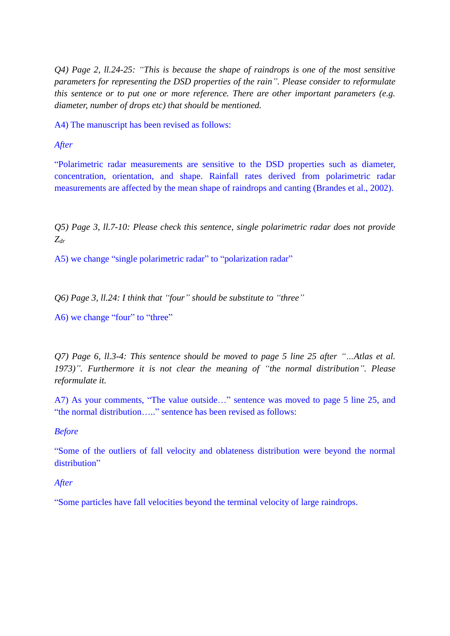*Q4) Page 2, ll.24-25: "This is because the shape of raindrops is one of the most sensitive parameters for representing the DSD properties of the rain". Please consider to reformulate this sentence or to put one or more reference. There are other important parameters (e.g. diameter, number of drops etc) that should be mentioned.*

A4) The manuscript has been revised as follows:

*After*

"Polarimetric radar measurements are sensitive to the DSD properties such as diameter, concentration, orientation, and shape. Rainfall rates derived from polarimetric radar measurements are affected by the mean shape of raindrops and canting (Brandes et al., 2002).

*Q5) Page 3, ll.7-10: Please check this sentence, single polarimetric radar does not provide Zdr*

A5) we change "single polarimetric radar" to "polarization radar"

*Q6) Page 3, ll.24: I think that "four" should be substitute to "three"*

A6) we change "four" to "three"

*Q7) Page 6, ll.3-4: This sentence should be moved to page 5 line 25 after "…Atlas et al. 1973)". Furthermore it is not clear the meaning of "the normal distribution". Please reformulate it.*

A7) As your comments, "The value outside…" sentence was moved to page 5 line 25, and "the normal distribution….." sentence has been revised as follows:

*Before*

"Some of the outliers of fall velocity and oblateness distribution were beyond the normal distribution"

*After*

"Some particles have fall velocities beyond the terminal velocity of large raindrops.